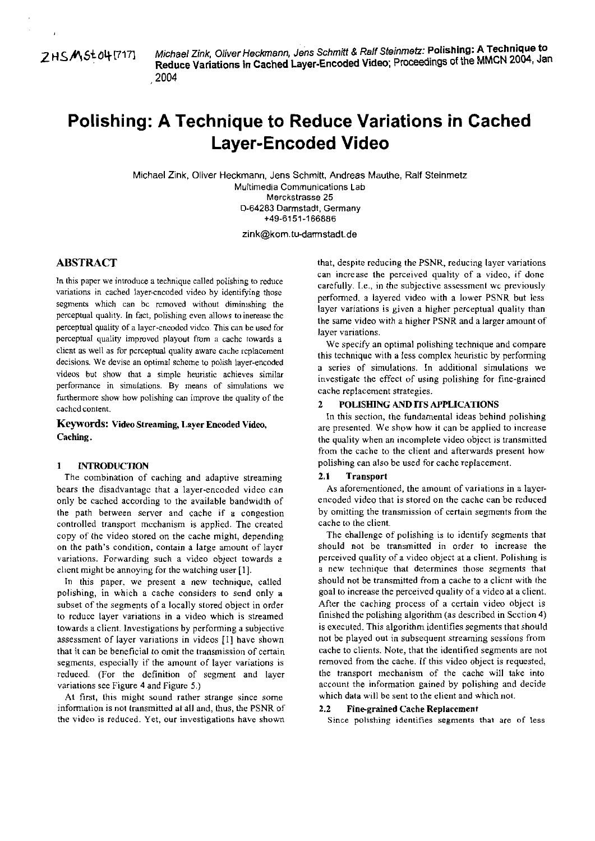~SA5tOq17171 Michael Zink, Oliver Heckmann, Jens Schmitt & **Rslf** Steinmetz: **Polishing: A Technique to Reduce Variations in Cached Layer-Encoded Video; Proceedings of the MMCN 2004, Jan** 

# **Polishing: A Technique to Reduce Variations in Cached Layer-Encoded Video**

Michael Zink, Oliver Heckmann. Jens Schmilt. Andreas Mauthe, Ralf Steinmetz Multimedia Communications Lab Merckstrasse 25 D-64283 Darmstadt, Germany +49-6151-166886

zink@kom.tu-darmstadt.de

In this paper we introduce a technique called polishing to reduce variations in cached layer-cncoded video by identifying those segments which can bc rcmoved without diminishing the perceptual quality. In fact, polishing even allows ta inerease thc perceptual quality of a laycr-cncoded vidco This can be used for perceptual quality improved playout from a cachc towards a clicnt as well **as** for pcrceptual quality aware cache rcplacement decisions. We devise an optimal scheme to polish iayer-encoded videos but show that a simple heuristic achieves similar perfonnance in simulations. By means of simulations we furthermore show how polishing can improve the quality of the cached content.

**Keywords: VideoStreaming, Layer Encoded Video,**  Caching.

## **1 INTRODUCTION**

The comhination of caching and adaptive streaming bears the disadvantagc that a layer-encoded video can only be cached according to the availahle bandwidth of the path between server and cache if a congestion controlled transport mcchanism is applied. The created copy of the video stored on the cache might, depending on the path's condition, contain a large amount of layer variations. Forwarding such a video object towards a client might be annoying for the watching user [I].

In this paper. we present a new technique, called polishing, in which a cache considers to send only a subset of the segments of a locally stored object in order to reduce layer variations in a video which is streamed towards a client. lnvestigations by perfonning a subjective assessment of layer variations in videos [I] have shown that it can be beneficial to omit the transmission of certain segments, especially if the amount of layer variations is redueed. (For the definition of Segment and layer variations see Figure 4 and Figure **5.)** 

At first, this might sound rather strange since some information is not transmitted at all and, thus, the PSNR of the video is reduced. Yet, our investigations have shown

**ABSTRACT**<br>
that, despite reducing the PSNR, reducing layer variations<br>
can increase the perceived quality of a video, if done carefully. I.e., in the subjective assessment wc previously perfomed. **a** layered video with a lower PSNR but less layer variations is given a higher perceptual quality than the same video with a higher PSNR and a larger amount of layer variations.

> We specify an optimal polishing technique and compare this technique with **a** less complex heuristic by perfonning a series of simulations. In additional simulations we investigate the effect of using polishing for fine-grained cache replacement strategies.

#### **POLISHING AND ITS APPLICATIONS**

In this section, the fundamental ideas behind polishing are presented. We show how it can be applied to increase the quality when an incomplete video object is transmitted from the cache to the client and afterwards present how polishing can also be used for cache replacement.

### **2.1 Transport**

As aforementioned, the amount of variations in a layerencoded video that is stored on the cache can be reduced by omitting the transmission of certain segments from the cache to the client.

The ehallenge of polishing is to identify segments that should not be transmitted in order to increase the perceived quality of a video object at a client. Polishing is a new technique that determines those segments that should not be transmitted from a cache to a client with the goal to increase the perceived quality of a video at a client. After the caching process of a certain video object is finished the polishing algorithm (as described in Scction 4) is executed. This algorithm identifies segments that should not be played out in subsequent streaming sessions from cache to clients. Note, that the identified segments are not removed from the caehe. If this video object is requested, the transport mechanism of the caehe will take into account the information gained by polishing and decide which data will be sent to the elient and which not.

#### **2.2 Fine-grained Cache Replacement**

**Since** polishing identifies segments that are of less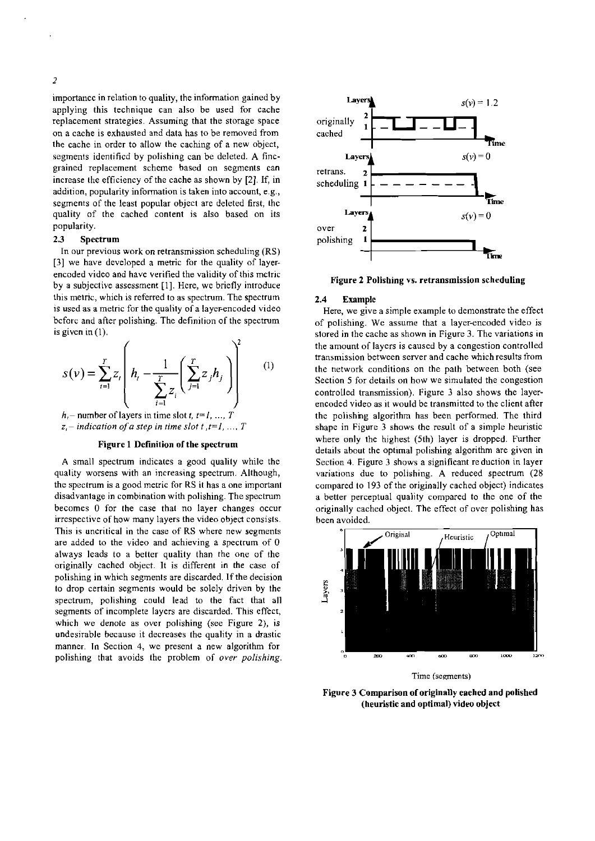importancc in relation to quality, the infomation gained by applying this technique can also be used for cache replacement strategies. Assuming that the Storage space on a cache is exhausted and data has tobe removed from the cache in order to allow the caching of a new object, segments identificd by polishing can be deleted. A fincgrained replacement scheme based on segments can increase the efficiency of the cache as shown by [?I. If, in addition, popularity information is taken into account, e.g., segments of the least popular object are deleted first, the quality of the cached content is also based on its popularity.

# **2.3** Spectrum

In our previous work on retransmission scheduling (RS) [3] we have developed a metric for the quality of layerencoded video and have verified the validity of this mctric by a subjective assessment [I]. Here, we briefly introduce this metric, which is referred to as spectrum. The spectrum is used as a metric for the quality of a layer-encoded video bcforc and after polishing. The definition of the spectrum is given in (I).

$$
s(v) = \sum_{i=1}^{T} z_i \left( h_i - \frac{1}{\sum_{i=1}^{T} z_i} \left( \sum_{j=1}^{T} z_j h_j \right) \right)^2 \qquad (1)
$$

 $h_i$  – number of layers in time slot *t*,  $t=1, ..., T$  $z_i$  – indication of a step in time slot t, t=1, ..., T

#### Figure **1** Definition of the spectrum

**A** small spectmm indicates a good quality while the quality worsens with an increasing spectrum. Although, the spectrum is a good metric for RS it has a one important disadvantage in combination with polishing. The spectrum becomes 0 for the case that no layer changes occur irrespective of how many layers the video object consists. This is uncritical in the case of RS where new segments are added to the video and achieving a spectrum of 0 always leads to a better quality than the one of the originally cached object. It is different in the case of polishing in which segments are discarded. If the decision to drop certain segments would be solely driven by the spectrum, polishing could lead to the fact that all segments of incomplete layers are discarded. This effect, which we denote as over polishing (see Figure 2), is undesirable because it decreases the quality in a drastic manner. In Section 4, we present a new algorithm for polishing that avoids the problem of *over polishing.* 



Figure 2 Polishing vs. retransmission scheduling

#### 2.4 Example

Here, we give a simple example to demonstrate the effect of polishing. We assume that a layer-encoded video is stored in the cache as shown in Figure 3. The variations in the amount of layers is caused by a congestion controlled transmission between server and cache whichresults from the network conditions on the palh between both (see Section 5 for details on how we simulated the congestion controlled transmission). Figure **3** also shows the layerencoded video as it would be transmitted to the client after the polishng algorithm has been performed. The third shape in Figure **3** shaws the result of a simple heuristic where only the highest (5th) layer is dropped. Further details about the optimal polishing algorithm are given in Section 4. Figure **3** shaws a significant reduction in layer variations due to polishing. A reduced spectrum (28) campared to 193 of the originally cached object) indicates a better perceptual quality compared to the one of the originally cached object. The effect af over polishing has been avoided.



Time (sements)

Figure 3 Comparison of originally eached and polished (heuristie and optimal) video object

 $\overline{2}$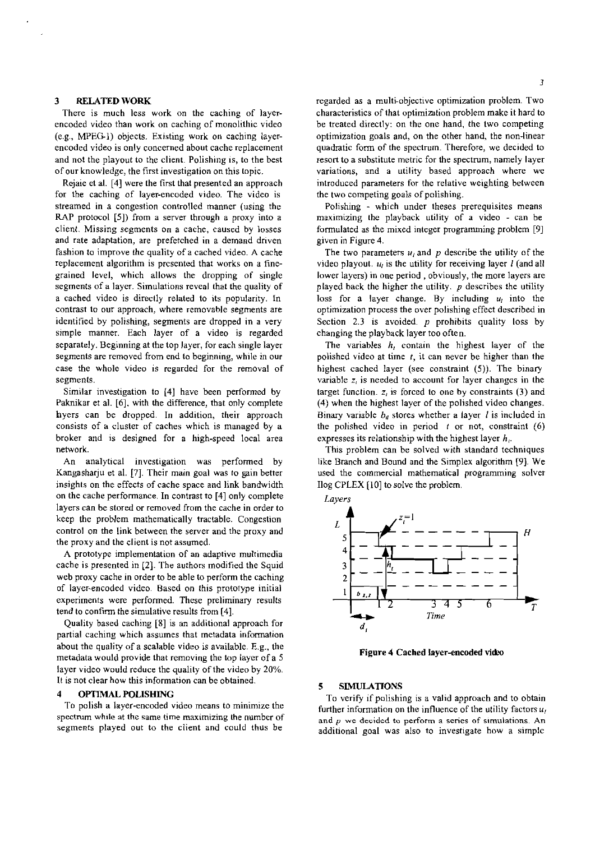#### **3 RELATEDWORK**

There is much less work on the caching of layerencoded video than work on caching of monolithic video (e.g., MPEG-1) objects. Existing work on caching layerencoded video is only concerned about cache replacement and not the playout to the client. Polishing is, to the best of our knowledge, the first investigation on this topic.

Rejaie et al. [4] were the first that presented an approach for the caching of layer-encoded video. The video is streamed in a congestion controlled manner (using the RAP protocol [5]) from a server through a proxy into a client. Missing segments on a cache, caused by losses and rate adaptation, are prefetched in a demand driven fashion to improve the quality of a cached video. A cache replacement algorithm is prcsented that works on a finegrained level, which allows the dropping of single segments of **a** layer. Simulations reveal that the quality of a cached video is directly related to its popularity. In contrast to our approach, where removable segments are identified by polishing, segments are dropped in a very simple manner. Each layer of a video is regarded separately. Beginning at the top layer, for each single layer segments are removed from end to beginning, while in our case the whole video is regarded for the removal of segments.

Similar investigation to [4] have been performed by Paknikar et al. [6], with the difference, that only complete hyers can be dropped. In addition, their approach consists of a cluster of caches which is managed by a broker and is designed for a high-speed local area network.

An analytical investigation was performed by Kangasharju et al. [7]. Their main goal was to gain better insights on the effects of cache space and link bandwidth on the cache performance. In contrast to [4] only complete layers can be stored or removed from the cache in order to keep the problem mathematically tractable. Congestion control on the link between the server and the proxy and the proxy and the client is not assumed.

**A** prototype implementation of an adaptive multimedia cache is presented in **(21.** The authors modified the Squid web proxy cache in order to be able to perform the caching of layer-encoded video. ßased on this prototype initial experiments were perfomed. These preliminary results tend to confirm the simulative results from [4].

Quality based caching [8] is an additional approach for partial caching which assumes that metadata information about the quality of a scalable video is available. E.g., the metadata would provide that removing the top iayer of a 5 layer video would reduce the quality of the video by 20%. It is not clear how this information can be obtained.

#### **4 OPT7MAL POLISHiNG**

To polish a layer-encoded video means to minimize the spectrum while at the same time maximizing the number of segments played out to the client and could thus be

regarded as a multi-objective optimization problem. Two characteristics of that optimization problem make it hard to be treated directly: on the one hand. the two competing optimization goals and, on the other hand. the non-linear quadratic form of the spectrum. Therefore, we decided to resort to a substitute metric for the spectrum, namely layer variations, and a utility based approach where we introduced parameters for the relative weighting between the two competing goals of polishing.

Polishing - which under theses prerequisites means maximizing the playback utility of a video - can be formulated as the mixed integer programming problem  $[9]$ given in Figure 4.

The two parameters  $u_i$  and p describe the utility of the video playout.  $u_i$  is the utility for receiving layer  $l$  (and all lower layers) in one period , obviously, the more layers are played back the higher the utility.  $p$  describes the utility loss for a layer change. By including  $u_i$  into the optimization process the over polishing effect described in Section 2.3 is avoided.  $p$  prohibits quality loss by changing the playback layer too often.

The variables *h,* contain the highest layer of the polished video at time **I,** it can never be higher than the highest cached layer (see constraint (5)). The binary variable  $z_i$  is needed to account for layer changes in the target function. z, is forced to one by consiraints **(3)** and (4) when the highest layer of the polished video changes. Binary variable  $b_d$  stores whether a layer *l* is included in the polished video in period  $t$  or not, constraint  $(6)$ expresses its relationship with the highest layer *h,.* 

This problem can be solved with standard techniques like Branch and Bound and the Simplex algorithm [9]. We used the commercial mathematical programming solver Ilog CPLEX [I01 to solve the problem.

**Lavers** 



**Figure 4 Cached layer-encoded video** 

#### **5 SiMüLATiONS**

To verify if polishing is a valid approach and to obtain further information on the influence of the utility factors  $u_i$ **and p we** deiidcd **to prfomi a seriec of** stmulations. An additional goal was also to investigate how a simplc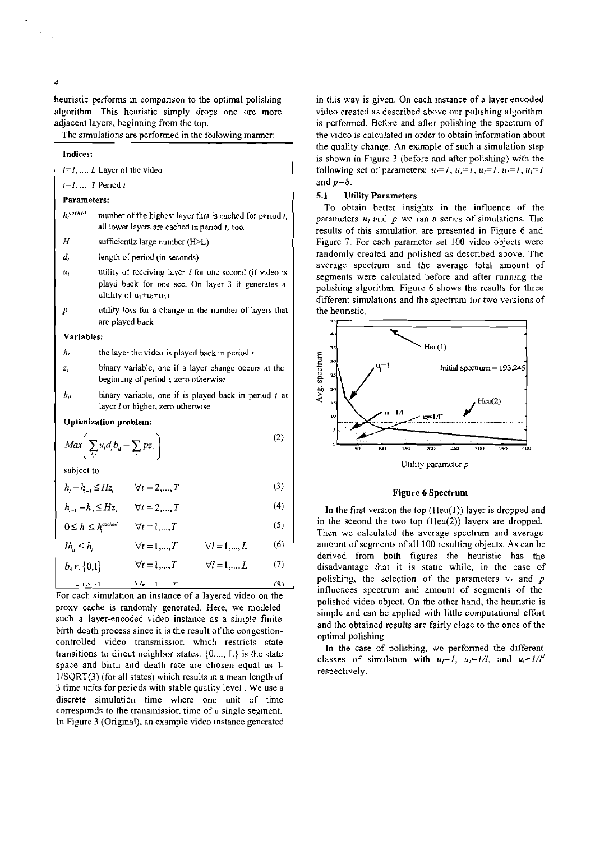heuristic performs in comparison to the optimal polishing algorithm. This heuristic simply drops one ore more adjacent layers, beginning from the top.

The simulations are performed in the following manner:

|                       | Indices:       |                                                                                                                                                  |     |  |  |  |  |
|-----------------------|----------------|--------------------------------------------------------------------------------------------------------------------------------------------------|-----|--|--|--|--|
|                       |                | $l = 1, , L$ Layer of the video                                                                                                                  |     |  |  |  |  |
|                       |                | $t=1,\ldots T$ Period t                                                                                                                          |     |  |  |  |  |
|                       |                | Parameters:                                                                                                                                      |     |  |  |  |  |
|                       | $h_t^{cuched}$ | number of the highest layer that is cached for period $t$ ,<br>all lower layers are cached in period $t$ , too.                                  |     |  |  |  |  |
|                       | Н              | sufficientlz large number (H>L)                                                                                                                  |     |  |  |  |  |
|                       | d,             | length of period (in seconds)                                                                                                                    |     |  |  |  |  |
|                       | $u_i$          | utility of receiving layer $l$ for one second (if video is<br>playd back for one sec. On layer 3 it generates a<br>ultility of $u_1 + u_2 + u_3$ |     |  |  |  |  |
|                       | р              | utility loss for a change in the number of layers that<br>are played back                                                                        |     |  |  |  |  |
|                       | Variables:     |                                                                                                                                                  |     |  |  |  |  |
|                       | h <sub>1</sub> | the layer the video is played back in period $t$                                                                                                 |     |  |  |  |  |
|                       | z,             | binary variable, one if a layer change occurs at the<br>beginning of period t, zero otherwise                                                    |     |  |  |  |  |
|                       | Ь,             | binary variable, one if is played back in period $t$ at<br>layer I or higher, zero otherwise                                                     |     |  |  |  |  |
| Optimization problem: |                |                                                                                                                                                  |     |  |  |  |  |
|                       |                | $Max \left( \sum_{i,i} u_i d_i b_i - \sum_i pz_i \right)$                                                                                        | (2) |  |  |  |  |
| subject to            |                |                                                                                                                                                  |     |  |  |  |  |
|                       | za s           |                                                                                                                                                  |     |  |  |  |  |

$$
h_{t} - h_{t-1} \le Hz_{t} \qquad \forall t = 2, ..., T
$$
 (3)

$$
h_{t-1} - h_t \le Hz_t \qquad \forall t = 2,...,T
$$
 (4)

$$
0 \le h_{t} \le h_{t}^{cached} \qquad \forall t = 1,...,T
$$
\n<sup>(5)</sup>

$$
lb_{il} \le h_l \qquad \forall t = 1, ..., T \qquad \forall l = 1, ..., L \qquad (6)
$$

$$
b_{il} \in \{0,1\} \qquad \forall t = 1,...,T \qquad \forall l = 1,...,L \qquad (7)
$$
  
=  $\{0, 1\} \qquad \forall t = 1,...,T$  (8)

For each simulation an inslance of a layered video on the proxy cache is randomly generated. Here, we modeled such a layer-encoded video instance as a simple finite birth-death process since it is the result of the congestioncontrolled video transmission which restricts state transitions to direct neighbor states.  $\{0, \ldots, L\}$  is the state space and birth and death rate are chosen equal as **L**   $1/SQRT(3)$  (for all states) which results in a mean length of 3 time units for periods wich stable quality level . We use a discrete simulation time where one unit of time corresponds to the transmission time of **a** single Segment. In Figure 3 (Original), an example video instance gencrated in this way is given. On each instance of a layer-encoded video created as described above our polishing algorithm is perfomed. Before and after polishing the spectrum of the video is calculated in order to obtain inforrnation about the quality change. An example of such a simulation step is shown in Figure 3 (before and after polishing) with the following set of parameters:  $u_i=1$ ,  $u_i=1$ ,  $u_i=1$ ,  $u_i=1$ ,  $u_i=1$ and  $p=8$ .

# 5.1 **Uölity** Parameters

To obtain bettet insights in the influence of the parameters  $u_i$  and p we ran a series of simulations. The results of this simulation are presented in Figure 6 and Figure **7.** For each parameter set 100 video objects were randomly created and polished as described above. The average spectrum and the average total amount of segments were calculated before and after running the polishing algorithm. Figure 6 shows the resulls for three different simulations and the spectrum for two versions of the heuristic.



Utility parameter p

### **Figure 6 Spectrum**

In the first version the top  $(Heu(1))$  layer is dropped and in the seeond the two top (Heu(2)) layers are dropped. Then we calculated the average speetrum and average amount of segments of all 100 resulting objects. As can be derived from both figures the heuristic has the disadvantage that it is static while, in the case of polishing, the selection of the parameters  $u_i$  and  $p$ infiuences speetmm and amount of segmenls of the polished video object. On the other hand, the heuristic is simple and can be applied with little computational effort and the obtained resulls are fairly close to the ones of the optimal polishing.

In the case of polishing, we perfomed the different classes of simulation with  $u_i=1$ ,  $u_i=1/l$ , and  $u_i=1/l^2$ respectively.

 $\overline{A}$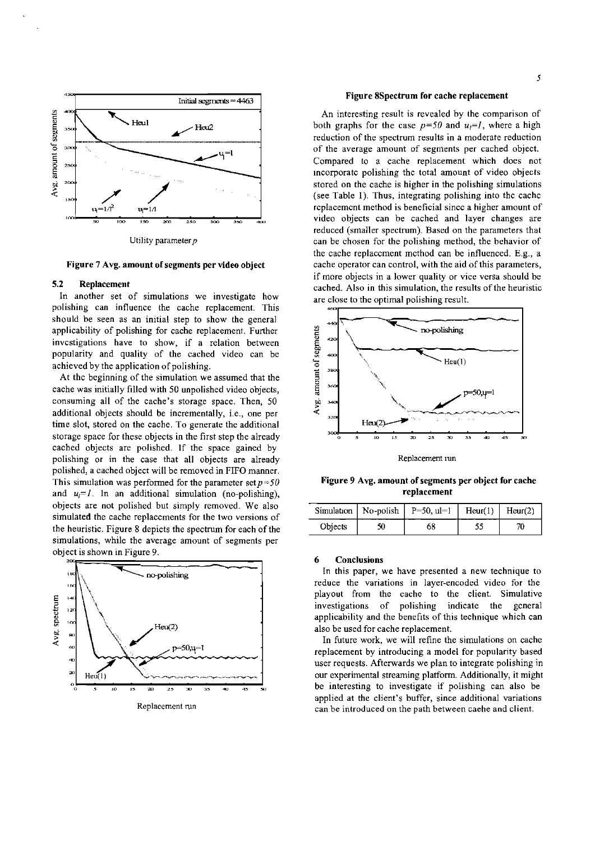



#### Figure 7 Avg. amount of segments per video object

# 5.2 Replacement

In another set of simulations we investigate how polishing can influence the cache replacement. This should be seen as an initial step to show the general applicability of polishing for cache replacement. Further invcstigations have to show, if a relation between popularity and quality of the cached video can be achieved by the application of polishing.

At thc beginning of the simulation we assumed that the cache was initially filled with 50 unpolished video objects, consuming all of the cache's storage space. Then, 50 additional objects should be incrementally, i.e., one per time slot, stored on the cache. To generate the additional storage space for these objects in the first step the already cached objects are polished. If the space gained by polishing or in the case that all objects are already polished, a cached object will be removed in FIFO manner. This simulation was performed for the parameter set  $p=50$ and  $u_i = l$ . In an additional simulation (no-polishing), objects are not polished but simply removed. We also simulated the cache replaccments for the two versions of the heuristic. Figure 8 depicts the spectrum for each of the simulations, while the average amount of segments per object is shown in Figure 9.



#### Figure 8Spectrum for cache replacement

An interesting result is revealed by the comparison of both graphs for the case  $p=50$  and  $u<sub>i</sub>=l$ , where a high reduction of the spectrum results in a moderate reduction of the average amount of segments per cached object. Compared to a cache replacement which does not incorporatc polishing thc total amount of video objects stored on the cache is higher in the polishing simulations (see Table 1). Thus, integrating polishing into thc cachc rcplacemcnt method is beneficial sincc a higher amount of video objects can be cached and layer changes are reduced (smaller spectrum). Based on the parameters that can be chosen for the polishing method, the behavior of the cache replaccment mcthod can be influenced. E.g., a cache Operator can control, with the aid of this parameters, if more objects in a lower quality or vice versa should be cached. Also in this simulation, the results of the heuristic are close to the optimal polishing result. or the polishing method, the behavior of<br>cment mcthod can be influenced. E.g., a<br>an control, with the aid of this parameters,<br>in a lower quality or vice versa should be<br>this simulation, the results of the heuristic<br>potimal



Replacement run

Figure 9 Avg. amount of segments per object for cache replacement

|                | Simulation   No-polish   P=50, ul=1   Heur(1)   Heur(2) |  |
|----------------|---------------------------------------------------------|--|
| <b>Objects</b> |                                                         |  |

#### 6 Conclusions

In this Paper, we have presented a new technique to reduce the variations in layer-encoded video for the playout from the cache to the client. Simulative investigations of polishing indicate the gcneral applicability and the benefits of this technique which can also be used for cache replacement.

In future work, we will refine the simulations on cache replacement by introducing a model for popularity based user requests. Afterwards we plan to integrate polishing in our experimental streaming platform. Additionally, it might be interesting to investigate if polishing can also be applied at the client's buffer, since additional variations can be introduced an the path between caehe and client.